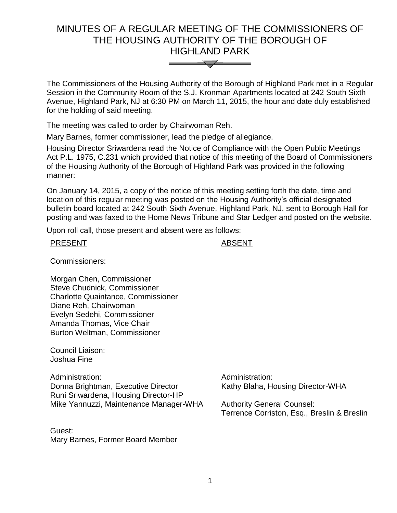# MINUTES OF A REGULAR MEETING OF THE COMMISSIONERS OF THE HOUSING AUTHORITY OF THE BOROUGH OF HIGHLAND PARK



The Commissioners of the Housing Authority of the Borough of Highland Park met in a Regular Session in the Community Room of the S.J. Kronman Apartments located at 242 South Sixth Avenue, Highland Park, NJ at 6:30 PM on March 11, 2015, the hour and date duly established for the holding of said meeting.

The meeting was called to order by Chairwoman Reh.

Mary Barnes, former commissioner, lead the pledge of allegiance.

Housing Director Sriwardena read the Notice of Compliance with the Open Public Meetings Act P.L. 1975, C.231 which provided that notice of this meeting of the Board of Commissioners of the Housing Authority of the Borough of Highland Park was provided in the following manner:

On January 14, 2015, a copy of the notice of this meeting setting forth the date, time and location of this regular meeting was posted on the Housing Authority's official designated bulletin board located at 242 South Sixth Avenue, Highland Park, NJ, sent to Borough Hall for posting and was faxed to the Home News Tribune and Star Ledger and posted on the website.

Upon roll call, those present and absent were as follows:

#### PRESENT ABSENT

Commissioners:

Morgan Chen, Commissioner Steve Chudnick, Commissioner Charlotte Quaintance, Commissioner Diane Reh, Chairwoman Evelyn Sedehi, Commissioner Amanda Thomas, Vice Chair Burton Weltman, Commissioner

Council Liaison: Joshua Fine

Administration: Administration: Donna Brightman, Executive Director Runi Sriwardena, Housing Director-HP Mike Yannuzzi, Maintenance Manager-WHA

Guest: Mary Barnes, Former Board Member Kathy Blaha, Housing Director-WHA

Authority General Counsel: Terrence Corriston, Esq., Breslin & Breslin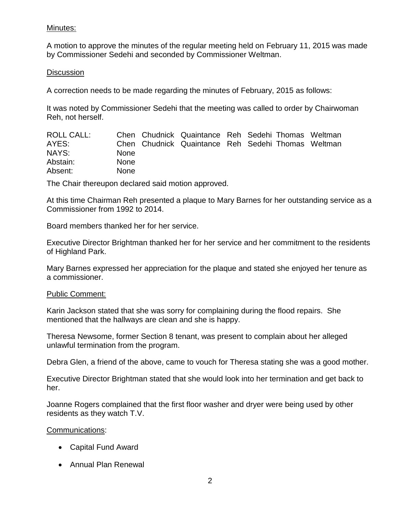### Minutes:

A motion to approve the minutes of the regular meeting held on February 11, 2015 was made by Commissioner Sedehi and seconded by Commissioner Weltman.

### **Discussion**

A correction needs to be made regarding the minutes of February, 2015 as follows:

It was noted by Commissioner Sedehi that the meeting was called to order by Chairwoman Reh, not herself.

| ROLL CALL: |             | Chen Chudnick Quaintance Reh Sedehi Thomas Weltman |  |  |
|------------|-------------|----------------------------------------------------|--|--|
| AYES:      |             | Chen Chudnick Quaintance Reh Sedehi Thomas Weltman |  |  |
| NAYS:      | <b>None</b> |                                                    |  |  |
| Abstain:   | <b>None</b> |                                                    |  |  |
| Absent:    | <b>None</b> |                                                    |  |  |

The Chair thereupon declared said motion approved.

At this time Chairman Reh presented a plaque to Mary Barnes for her outstanding service as a Commissioner from 1992 to 2014.

Board members thanked her for her service.

Executive Director Brightman thanked her for her service and her commitment to the residents of Highland Park.

Mary Barnes expressed her appreciation for the plaque and stated she enjoyed her tenure as a commissioner.

#### Public Comment:

Karin Jackson stated that she was sorry for complaining during the flood repairs. She mentioned that the hallways are clean and she is happy.

Theresa Newsome, former Section 8 tenant, was present to complain about her alleged unlawful termination from the program.

Debra Glen, a friend of the above, came to vouch for Theresa stating she was a good mother.

Executive Director Brightman stated that she would look into her termination and get back to her.

Joanne Rogers complained that the first floor washer and dryer were being used by other residents as they watch T.V.

#### Communications:

- Capital Fund Award
- Annual Plan Renewal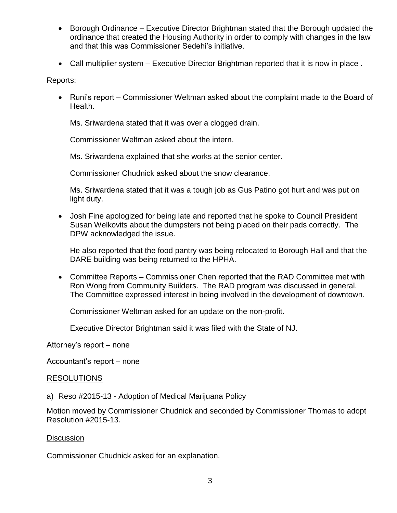- Borough Ordinance Executive Director Brightman stated that the Borough updated the ordinance that created the Housing Authority in order to comply with changes in the law and that this was Commissioner Sedehi's initiative.
- Call multiplier system Executive Director Brightman reported that it is now in place .

#### Reports:

 Runi's report – Commissioner Weltman asked about the complaint made to the Board of Health.

Ms. Sriwardena stated that it was over a clogged drain.

Commissioner Weltman asked about the intern.

Ms. Sriwardena explained that she works at the senior center.

Commissioner Chudnick asked about the snow clearance.

Ms. Sriwardena stated that it was a tough job as Gus Patino got hurt and was put on light duty.

 Josh Fine apologized for being late and reported that he spoke to Council President Susan Welkovits about the dumpsters not being placed on their pads correctly. The DPW acknowledged the issue.

He also reported that the food pantry was being relocated to Borough Hall and that the DARE building was being returned to the HPHA.

 Committee Reports – Commissioner Chen reported that the RAD Committee met with Ron Wong from Community Builders. The RAD program was discussed in general. The Committee expressed interest in being involved in the development of downtown.

Commissioner Weltman asked for an update on the non-profit.

Executive Director Brightman said it was filed with the State of NJ.

Attorney's report – none

Accountant's report – none

#### RESOLUTIONS

a) Reso #2015-13 - Adoption of Medical Marijuana Policy

Motion moved by Commissioner Chudnick and seconded by Commissioner Thomas to adopt Resolution #2015-13.

#### **Discussion**

Commissioner Chudnick asked for an explanation.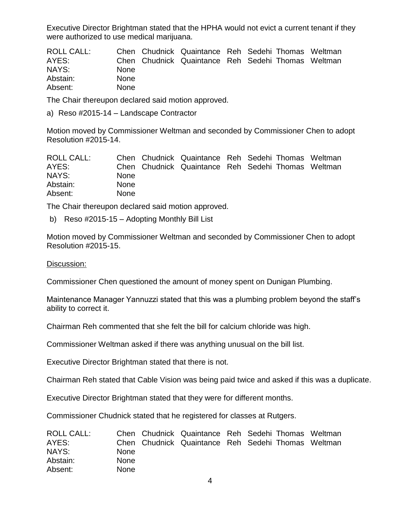Executive Director Brightman stated that the HPHA would not evict a current tenant if they were authorized to use medical marijuana.

| ROLL CALL: |             | Chen Chudnick Quaintance Reh Sedehi Thomas Weltman |  |  |
|------------|-------------|----------------------------------------------------|--|--|
| AYES:      |             | Chen Chudnick Quaintance Reh Sedehi Thomas Weltman |  |  |
| NAYS:      | <b>None</b> |                                                    |  |  |
| Abstain:   | <b>None</b> |                                                    |  |  |
| Absent:    | <b>None</b> |                                                    |  |  |

The Chair thereupon declared said motion approved.

a) Reso #2015-14 – Landscape Contractor

Motion moved by Commissioner Weltman and seconded by Commissioner Chen to adopt Resolution #2015-14.

| ROLL CALL: |             | Chen Chudnick Quaintance Reh Sedehi Thomas Weltman |  |  |
|------------|-------------|----------------------------------------------------|--|--|
| AYES:      |             | Chen Chudnick Quaintance Reh Sedehi Thomas Weltman |  |  |
| NAYS:      | <b>None</b> |                                                    |  |  |
| Abstain:   | <b>None</b> |                                                    |  |  |
| Absent:    | <b>None</b> |                                                    |  |  |

The Chair thereupon declared said motion approved.

b) Reso #2015-15 – Adopting Monthly Bill List

Motion moved by Commissioner Weltman and seconded by Commissioner Chen to adopt Resolution #2015-15.

Discussion:

Commissioner Chen questioned the amount of money spent on Dunigan Plumbing.

Maintenance Manager Yannuzzi stated that this was a plumbing problem beyond the staff's ability to correct it.

Chairman Reh commented that she felt the bill for calcium chloride was high.

Commissioner Weltman asked if there was anything unusual on the bill list.

Executive Director Brightman stated that there is not.

Chairman Reh stated that Cable Vision was being paid twice and asked if this was a duplicate.

Executive Director Brightman stated that they were for different months.

Commissioner Chudnick stated that he registered for classes at Rutgers.

| <b>ROLL CALL:</b> |             | Chen Chudnick Quaintance Reh Sedehi Thomas Weltman |  |  |
|-------------------|-------------|----------------------------------------------------|--|--|
| AYES:             |             | Chen Chudnick Quaintance Reh Sedehi Thomas Weltman |  |  |
| NAYS:             | <b>None</b> |                                                    |  |  |
| Abstain:          | <b>None</b> |                                                    |  |  |
| Absent:           | <b>None</b> |                                                    |  |  |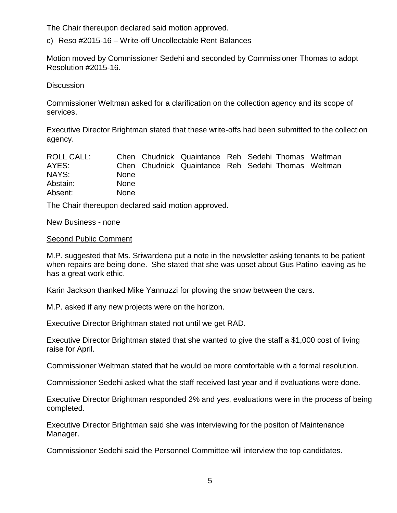The Chair thereupon declared said motion approved.

c) Reso #2015-16 – Write-off Uncollectable Rent Balances

Motion moved by Commissioner Sedehi and seconded by Commissioner Thomas to adopt Resolution #2015-16.

#### **Discussion**

Commissioner Weltman asked for a clarification on the collection agency and its scope of services.

Executive Director Brightman stated that these write-offs had been submitted to the collection agency.

| ROLL CALL: |             | Chen Chudnick Quaintance Reh Sedehi Thomas Weltman |  |  |
|------------|-------------|----------------------------------------------------|--|--|
| AYES:      |             | Chen Chudnick Quaintance Reh Sedehi Thomas Weltman |  |  |
| NAYS:      | <b>None</b> |                                                    |  |  |
| Abstain:   | <b>None</b> |                                                    |  |  |
| Absent:    | <b>None</b> |                                                    |  |  |

The Chair thereupon declared said motion approved.

#### New Business - none

#### Second Public Comment

M.P. suggested that Ms. Sriwardena put a note in the newsletter asking tenants to be patient when repairs are being done. She stated that she was upset about Gus Patino leaving as he has a great work ethic.

Karin Jackson thanked Mike Yannuzzi for plowing the snow between the cars.

M.P. asked if any new projects were on the horizon.

Executive Director Brightman stated not until we get RAD.

Executive Director Brightman stated that she wanted to give the staff a \$1,000 cost of living raise for April.

Commissioner Weltman stated that he would be more comfortable with a formal resolution.

Commissioner Sedehi asked what the staff received last year and if evaluations were done.

Executive Director Brightman responded 2% and yes, evaluations were in the process of being completed.

Executive Director Brightman said she was interviewing for the positon of Maintenance Manager.

Commissioner Sedehi said the Personnel Committee will interview the top candidates.